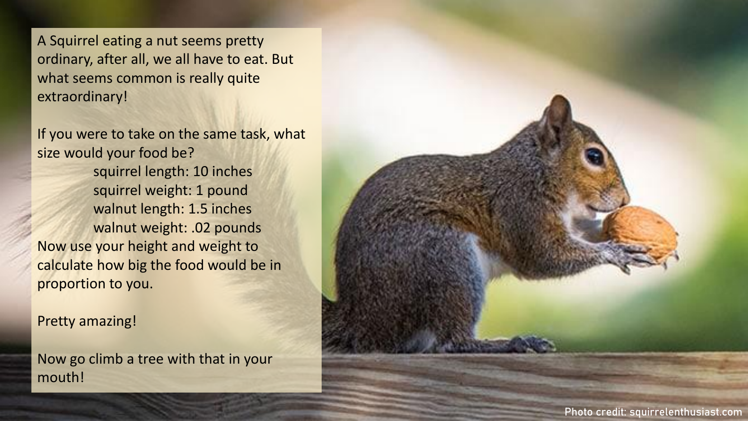A Squirrel eating a nut seems pretty ordinary, after all, we all have to eat. But what seems common is really quite extraordinary!

If you were to take on the same task, what size would your food be? squirrel length: 10 inches squirrel weight: 1 pound walnut length: 1.5 inches walnut weight: .02 pounds Now use your height and weight to calculate how big the food would be in proportion to you.

Pretty amazing!

Now go climb a tree with that in your mouth!